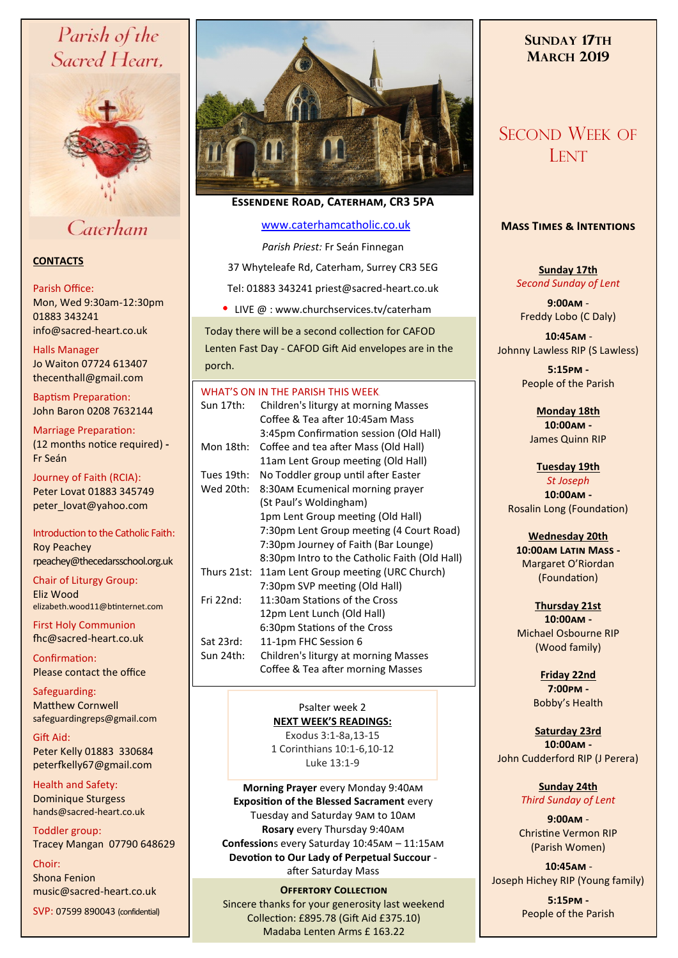# Parish of the Sacred Heart,



## Caterham

## **CONTACTS**

#### Parish Office:

Mon, Wed 9:30am-12:30pm 01883 343241 info@sacred-heart.co.uk .

Halls Manager

Jo Waiton 07724 613407 thecenthall@gmail.com

Baptism Preparation: John Baron 0208 7632144

Marriage Preparation: (12 months notice required) **-** Fr Seán

Journey of Faith (RCIA): Peter Lovat 01883 345749 peter\_lovat@yahoo.com

Introduction to the Catholic Faith: Roy Peachey rpeachey@thecedarsschool.org.uk

Chair of Liturgy Group: Eliz Wood elizabeth.wood11@btinternet.com

First Holy Communion fhc@sacred-heart.co.uk

Confirmation: Please contact the office

Safeguarding: Matthew Cornwell safeguardingreps@gmail.com

Gift Aid: Peter Kelly 01883 330684 peterfkelly67@gmail.com

Health and Safety: Dominique Sturgess hands@sacred-heart.co.uk

Toddler group: Tracey Mangan 07790 648629

Choir: Shona Fenion music@sacred-heart.co.uk

SVP: 07599 890043 (confidential)



## **Essendene Road, Caterham, CR3 5PA**

### [www.caterhamcatholic.co.uk](http://Www.caterhamcatholic.co.uk)

*Parish Priest:* Fr Seán Finnegan 37 Whyteleafe Rd, Caterham, Surrey CR3 5EG Tel: 01883 343241 priest@sacred-heart.co.uk

• LIVE  $@:www.churchservices.tv/caterham$ 

Today there will be a second collection for CAFOD Lenten Fast Day - CAFOD Gift Aid envelopes are in the porch.

|             | WHAT'S ON IN THE PARISH THIS WEEK             |
|-------------|-----------------------------------------------|
| Sun 17th:   | Children's liturgy at morning Masses          |
|             | Coffee & Tea after 10:45am Mass               |
|             | 3:45pm Confirmation session (Old Hall)        |
| Mon 18th:   | Coffee and tea after Mass (Old Hall)          |
|             | 11am Lent Group meeting (Old Hall)            |
| Tues 19th:  | No Toddler group until after Easter           |
| Wed 20th:   | 8:30AM Ecumenical morning prayer              |
|             | (St Paul's Woldingham)                        |
|             | 1pm Lent Group meeting (Old Hall)             |
|             | 7:30pm Lent Group meeting (4 Court Road)      |
|             | 7:30pm Journey of Faith (Bar Lounge)          |
|             | 8:30pm Intro to the Catholic Faith (Old Hall) |
| Thurs 21st: | 11am Lent Group meeting (URC Church)          |
|             | 7:30pm SVP meeting (Old Hall)                 |
| Fri $22nd:$ | 11:30am Stations of the Cross                 |
|             | 12pm Lent Lunch (Old Hall)                    |
|             | 6:30pm Stations of the Cross                  |
| Sat 23rd:   | 11-1pm FHC Session 6                          |
| Sun 24th:   | Children's liturgy at morning Masses          |
|             | Coffee & Tea after morning Masses             |
|             |                                               |

#### Psalter week 2 **NEXT WEEK'S READINGS:**

Exodus 3:1-8a,13-15 1 Corinthians 10:1-6,10-12 Luke 13:1-9

**Morning Prayer** every Monday 9:40am **Exposition of the Blessed Sacrament** every Tuesday and Saturday 9am to 10am **Rosary** every Thursday 9:40am **Confession**s every Saturday 10:45am – 11:15am **Devotion to Our Lady of Perpetual Succour**  after Saturday Mass

## **OFFERTORY COLLECTION**

Sincere thanks for your generosity last weekend Collection: £895.78 (Gift Aid £375.10) Madaba Lenten Arms £ 163.22

## **SUNDAY 17TH MARCH 2019**

## SECOND WEEK OF **LENT**

## **Mass Times & Intentions**

**Sunday 17th** *Second Sunday of Lent*

**9:00am** - Freddy Lobo (C Daly)

.**10:45am** - Johnny Lawless RIP (S Lawless)

> **5:15pm -** People of the Parish

**Monday 18th 10:00am -**  James Quinn RIP

**Tuesday 19th**  *St Joseph*

**10:00am -** Rosalin Long (Foundation)

**Wednesday 20th 10:00am Latin Mass -** Margaret O'Riordan (Foundation)

**Thursday 21st 10:00am -** Michael Osbourne RIP (Wood family)

> **Friday 22nd 7:00pm -** Bobby's Health

**Saturday 23rd 10:00am -**  John Cudderford RIP (J Perera)

> **Sunday 24th** *Third Sunday of Lent*

**9:00am** - Christine Vermon RIP (Parish Women)

.**10:45am** - Joseph Hichey RIP (Young family)

> **5:15pm -** People of the Parish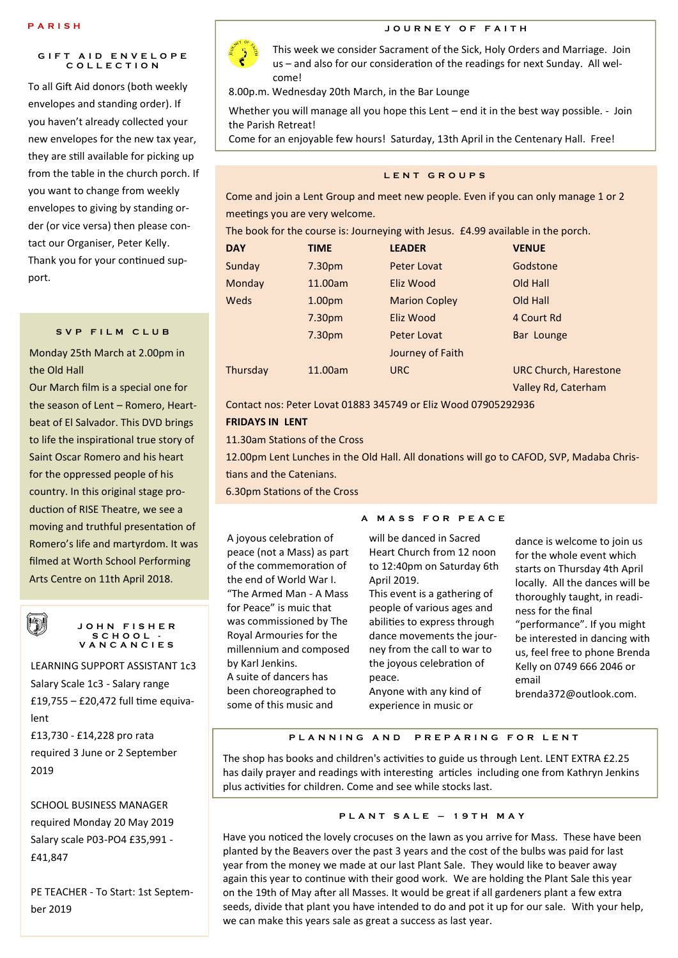#### **G I F T A I D E N V E L O P E C O L L E C T I O N**

To all Gift Aid donors (both weekly envelopes and standing order). If you haven't already collected your new envelopes for the new tax year, they are still available for picking up from the table in the church porch. If you want to change from weekly envelopes to giving by standing order (or vice versa) then please contact our Organiser, Peter Kelly. Thank you for your continued support.

#### **S V P F I L M C L U B**

Monday 25th March at 2.00pm in the Old Hall

Our March film is a special one for the season of Lent – Romero, Heartbeat of El Salvador. This DVD brings to life the inspirational true story of Saint Oscar Romero and his heart for the oppressed people of his country. In this original stage production of RISE Theatre, we see a moving and truthful presentation of Romero's life and martyrdom. It was filmed at Worth School Performing Arts Centre on 11th April 2018.



#### **J O H N F I S H E R S C H O O L - V A N C A N C I E S**

LEARNING SUPPORT ASSISTANT 1c3 Salary Scale 1c3 - Salary range £19,755 – £20,472 full time equivalent £13,730 - £14,228 pro rata required 3 June or 2 September

2019

SCHOOL BUSINESS MANAGER required Monday 20 May 2019 Salary scale P03-PO4 £35,991 - £41,847

PE TEACHER - To Start: 1st September 2019



**PARISH Here I SEE ALL AND RESIDENCE TO BE A UPPER OF FAITH** 

This week we consider Sacrament of the Sick, Holy Orders and Marriage. Join us – and also for our consideration of the readings for next Sunday. All welcome!

8.00p.m. Wednesday 20th March, in the Bar Lounge

Whether you will manage all you hope this Lent – end it in the best way possible. - Join the Parish Retreat!

Come for an enjoyable few hours! Saturday, 13th April in the Centenary Hall. Free!

#### **L E N T G R O U P S**

Come and join a Lent Group and meet new people. Even if you can only manage 1 or 2 meetings you are very welcome.

The book for the course is: Journeying with Jesus. £4.99 available in the porch.

| <b>DAY</b> | TIME               | <b>LEADER</b>        | <b>VENUE</b>                 |
|------------|--------------------|----------------------|------------------------------|
|            |                    |                      |                              |
| Sunday     | 7.30 <sub>pm</sub> | Peter Lovat          | Godstone                     |
| Monday     | 11.00am            | Eliz Wood            | Old Hall                     |
| Weds       | 1.00 <sub>pm</sub> | <b>Marion Copley</b> | Old Hall                     |
|            | 7.30 <sub>pm</sub> | Eliz Wood            | 4 Court Rd                   |
|            | 7.30 <sub>pm</sub> | Peter Lovat          | Bar Lounge                   |
|            |                    | Journey of Faith     |                              |
| Thursday   | 11.00am            | <b>URC</b>           | <b>URC Church, Harestone</b> |
|            |                    |                      | Valley Rd, Caterham          |

Contact nos: Peter Lovat 01883 345749 or Eliz Wood 07905292936

#### **FRIDAYS IN LENT**

11.30am Stations of the Cross

12.00pm Lent Lunches in the Old Hall. All donations will go to CAFOD, SVP, Madaba Christians and the Catenians.

6.30pm Stations of the Cross

A joyous celebration of peace (not a Mass) as part of the commemoration of the end of World War I. "The Armed Man - A Mass for Peace" is muic that was commissioned by The Royal Armouries for the millennium and composed by Karl Jenkins. A suite of dancers has been choreographed to some of this music and

#### **A M A S S F O R P E A C E**

will be danced in Sacred Heart Church from 12 noon to 12:40pm on Saturday 6th April 2019.

This event is a gathering of people of various ages and abilities to express through dance movements the journey from the call to war to the joyous celebration of peace. Anyone with any kind of

dance is welcome to join us for the whole event which starts on Thursday 4th April locally. All the dances will be thoroughly taught, in readiness for the final "performance". If you might be interested in dancing with us, feel free to phone Brenda Kelly on 0749 666 2046 or email brenda372@outlook.com.

#### **P L A N N I N G A N D P R E P A R I N G F O R L E N T**

experience in music or

The shop has books and children's activities to guide us through Lent. LENT EXTRA £2.25 has daily prayer and readings with interesting articles including one from Kathryn Jenkins plus activities for children. Come and see while stocks last.

#### **P L A N T S A L E – 1 9 T H M A Y**

Have you noticed the lovely crocuses on the lawn as you arrive for Mass. These have been planted by the Beavers over the past 3 years and the cost of the bulbs was paid for last year from the money we made at our last Plant Sale. They would like to beaver away again this year to continue with their good work. We are holding the Plant Sale this year on the 19th of May after all Masses. It would be great if all gardeners plant a few extra seeds, divide that plant you have intended to do and pot it up for our sale. With your help, we can make this years sale as great a success as last year.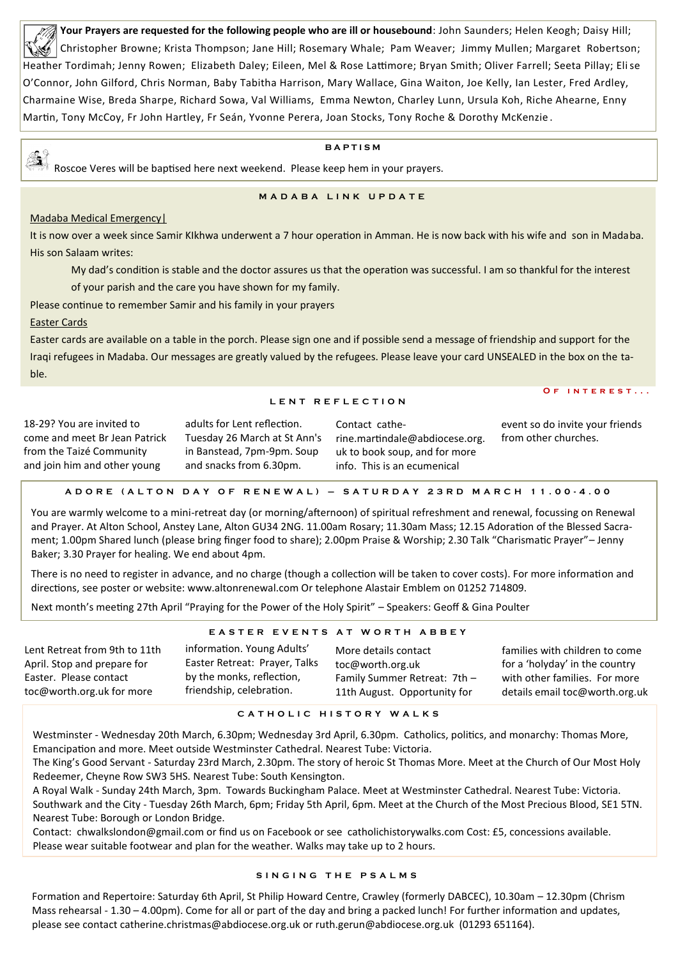**Your Prayers are requested for the following people who are ill or housebound**: John Saunders; Helen Keogh; Daisy Hill; Christopher Browne; Krista Thompson; Jane Hill; Rosemary Whale; Pam Weaver; Jimmy Mullen; Margaret Robertson; Heather Tordimah; Jenny Rowen; Elizabeth Daley; Eileen, Mel & Rose Lattimore; Bryan Smith; Oliver Farrell; Seeta Pillay; Elise O'Connor, John Gilford, Chris Norman, Baby Tabitha Harrison, Mary Wallace, Gina Waiton, Joe Kelly, Ian Lester, Fred Ardley, Charmaine Wise, Breda Sharpe, Richard Sowa, Val Williams, Emma Newton, Charley Lunn, Ursula Koh, Riche Ahearne, Enny Martin, Tony McCoy, Fr John Hartley, Fr Seán, Yvonne Perera, Joan Stocks, Tony Roche & Dorothy McKenzie .

#### **B A P T I S M**

25. Roscoe Veres will be baptised here next weekend. Please keep hem in your prayers.

#### **M A D A B A L I N K U P D A T E**

### Madaba Medical Emergency|

It is now over a week since Samir KIkhwa underwent a 7 hour operation in Amman. He is now back with his wife and son in Madaba. His son Salaam writes:

My dad's condition is stable and the doctor assures us that the operation was successful. I am so thankful for the interest

of your parish and the care you have shown for my family.

Please continue to remember Samir and his family in your prayers

Easter Cards

Easter cards are available on a table in the porch. Please sign one and if possible send a message of friendship and support for the Iraqi refugees in Madaba. Our messages are greatly valued by the refugees. Please leave your card UNSEALED in the box on the table.

#### **L E N T R E F L E C T I O N**

**O f i n t e r e s t . . .**

18-29? You are invited to come and meet Br Jean Patrick from the Taizé Community and join him and other young adults for Lent reflection. Tuesday 26 March at St Ann's in Banstead, 7pm-9pm. Soup and snacks from 6.30pm. Contact catherine.martindale@abdiocese.org. uk to book soup, and for more info. This is an ecumenical event so do invite your friends from other churches.

#### **A D O R E ( A L T O N D A Y O F R E N E W A L ) – S A T U R D A Y 2 3 R D M A R C H 1 1 . 0 0 - 4 . 0 0**

You are warmly welcome to a mini-retreat day (or morning/afternoon) of spiritual refreshment and renewal, focussing on Renewal and Prayer. At Alton School, Anstey Lane, Alton GU34 2NG. 11.00am Rosary; 11.30am Mass; 12.15 Adoration of the Blessed Sacrament; 1.00pm Shared lunch (please bring finger food to share); 2.00pm Praise & Worship; 2.30 Talk "Charismatic Prayer"– Jenny Baker; 3.30 Prayer for healing. We end about 4pm.

There is no need to register in advance, and no charge (though a collection will be taken to cover costs). For more information and directions, see poster or website: www.altonrenewal.com Or telephone Alastair Emblem on 01252 714809.

Next month's meeting 27th April "Praying for the Power of the Holy Spirit" – Speakers: Geoff & Gina Poulter

#### **E A S T E R E V E N T S A T W O R T H A B B E Y**

| information. Young Adults'<br>Lent Retreat from 9th to 11th<br>Easter Retreat: Prayer, Talks<br>April. Stop and prepare for<br>by the monks, reflection,<br>Easter. Please contact<br>friendship, celebration.<br>toc@worth.org.uk for more | More details contact<br>toc@worth.org.uk<br>Family Summer Retreat: 7th -<br>11th August. Opportunity for | families with children to come<br>for a 'holyday' in the country<br>with other families. For more<br>details email toc@worth.org.uk |
|---------------------------------------------------------------------------------------------------------------------------------------------------------------------------------------------------------------------------------------------|----------------------------------------------------------------------------------------------------------|-------------------------------------------------------------------------------------------------------------------------------------|
|---------------------------------------------------------------------------------------------------------------------------------------------------------------------------------------------------------------------------------------------|----------------------------------------------------------------------------------------------------------|-------------------------------------------------------------------------------------------------------------------------------------|

**C A T H O L I C H I S T O R Y W A L K S**

Westminster - Wednesday 20th March, 6.30pm; Wednesday 3rd April, 6.30pm. Catholics, politics, and monarchy: Thomas More, Emancipation and more. Meet outside Westminster Cathedral. Nearest Tube: Victoria.

The King's Good Servant - Saturday 23rd March, 2.30pm. The story of heroic St Thomas More. Meet at the Church of Our Most Holy Redeemer, Cheyne Row SW3 5HS. Nearest Tube: South Kensington.

A Royal Walk - Sunday 24th March, 3pm. Towards Buckingham Palace. Meet at Westminster Cathedral. Nearest Tube: Victoria. Southwark and the City - Tuesday 26th March, 6pm; Friday 5th April, 6pm. Meet at the Church of the Most Precious Blood, SE1 5TN. Nearest Tube: Borough or London Bridge.

Contact: chwalkslondon@gmail.com or find us on Facebook or see catholichistorywalks.com Cost: £5, concessions available. Please wear suitable footwear and plan for the weather. Walks may take up to 2 hours.

#### **S I N G I N G T H E P S A L M S**

Formation and Repertoire: Saturday 6th April, St Philip Howard Centre, Crawley (formerly DABCEC), 10.30am – 12.30pm (Chrism Mass rehearsal - 1.30 – 4.00pm). Come for all or part of the day and bring a packed lunch! For further information and updates, please see contact catherine.christmas@abdiocese.org.uk or ruth.gerun@abdiocese.org.uk (01293 651164).